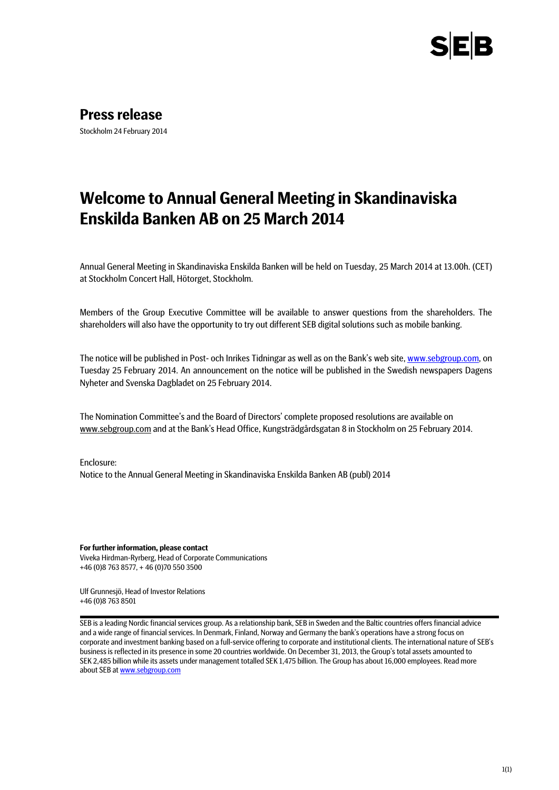

**Press release**

Stockholm 24 February 2014

# **Welcome to Annual General Meeting in Skandinaviska Enskilda Banken AB on 25 March 2014**

Annual General Meeting in Skandinaviska Enskilda Banken will be held on Tuesday, 25 March 2014 at 13.00h. (CET) at Stockholm Concert Hall, Hötorget, Stockholm.

Members of the Group Executive Committee will be available to answer questions from the shareholders. The shareholders will also have the opportunity to try out different SEB digital solutions such as mobile banking.

The notice will be published in Post- och Inrikes Tidningar as well as on the Bank's web site[, www.sebgroup.com,](http://www.sebgroup.com/) on Tuesday 25 February 2014. An announcement on the notice will be published in the Swedish newspapers Dagens Nyheter and Svenska Dagbladet on 25 February 2014.

The Nomination Committee's and the Board of Directors' complete proposed resolutions are available on www.sebgroup.com and at the Bank's Head Office, Kungsträdgårdsgatan 8 in Stockholm on 25 February 2014.

Enclosure: Notice to the Annual General Meeting in Skandinaviska Enskilda Banken AB (publ) 2014

**For further information, please contact** Viveka Hirdman-Ryrberg, Head of Corporate Communications +46 (0)8 763 8577, + 46 (0)70 550 3500

Ulf Grunnesjö, Head of Investor Relations +46 (0)8 763 8501

SEB is a leading Nordic financial services group. As a relationship bank, SEB in Sweden and the Baltic countries offers financial advice and a wide range of financial services. In Denmark, Finland, Norway and Germany the bank's operations have a strong focus on corporate and investment banking based on a full-service offering to corporate and institutional clients. The international nature of SEB's business is reflected in its presence in some 20 countries worldwide. On December 31, 2013, the Group's total assets amounted to SEK 2,485 billion while its assets under management totalled SEK 1,475 billion. The Group has about 16,000 employees. Read more about SEB a[t www.sebgroup.com](http://www.sebgroup.com/)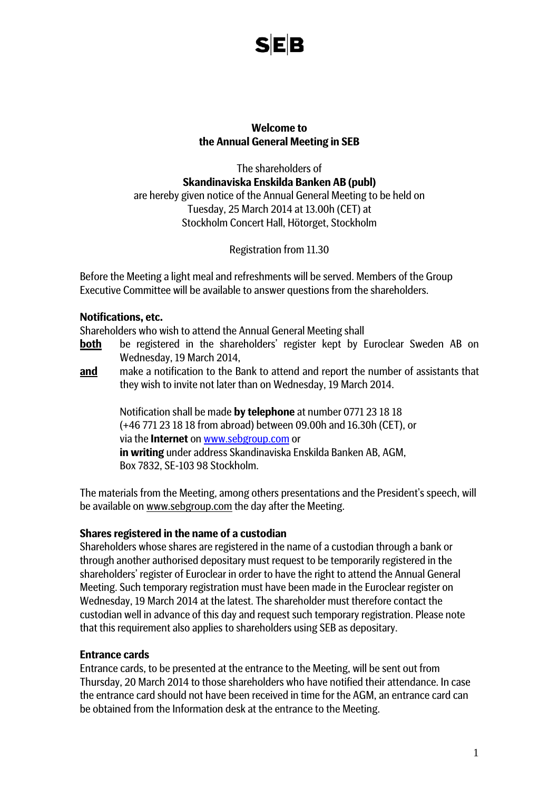

#### **Welcome to the Annual General Meeting in SEB**

The shareholders of **Skandinaviska Enskilda Banken AB (publ)** are hereby given notice of the Annual General Meeting to be held on Tuesday, 25 March 2014 at 13.00h (CET) at Stockholm Concert Hall, Hötorget, Stockholm

Registration from 11.30

Before the Meeting a light meal and refreshments will be served. Members of the Group Executive Committee will be available to answer questions from the shareholders.

#### **Notifications, etc.**

Shareholders who wish to attend the Annual General Meeting shall

- **both** be registered in the shareholders' register kept by Euroclear Sweden AB on Wednesday, 19 March 2014,
- **and** make a notification to the Bank to attend and report the number of assistants that they wish to invite not later than on Wednesday, 19 March 2014.

Notification shall be made **by telephone** at number 0771 23 18 18 (+46 771 23 18 18 from abroad) between 09.00h and 16.30h (CET), or via the **Internet** on [www.sebgroup.com](http://www.seb.se/) or **in writing** under address Skandinaviska Enskilda Banken AB, AGM, Box 7832, SE-103 98 Stockholm.

The materials from the Meeting, among others presentations and the President's speech, will be available on www.sebgroup.com the day after the Meeting.

#### **Shares registered in the name of a custodian**

Shareholders whose shares are registered in the name of a custodian through a bank or through another authorised depositary must request to be temporarily registered in the shareholders' register of Euroclear in order to have the right to attend the Annual General Meeting. Such temporary registration must have been made in the Euroclear register on Wednesday, 19 March 2014 at the latest. The shareholder must therefore contact the custodian well in advance of this day and request such temporary registration. Please note that this requirement also applies to shareholders using SEB as depositary.

#### **Entrance cards**

Entrance cards, to be presented at the entrance to the Meeting, will be sent out from Thursday, 20 March 2014 to those shareholders who have notified their attendance. In case the entrance card should not have been received in time for the AGM, an entrance card can be obtained from the Information desk at the entrance to the Meeting.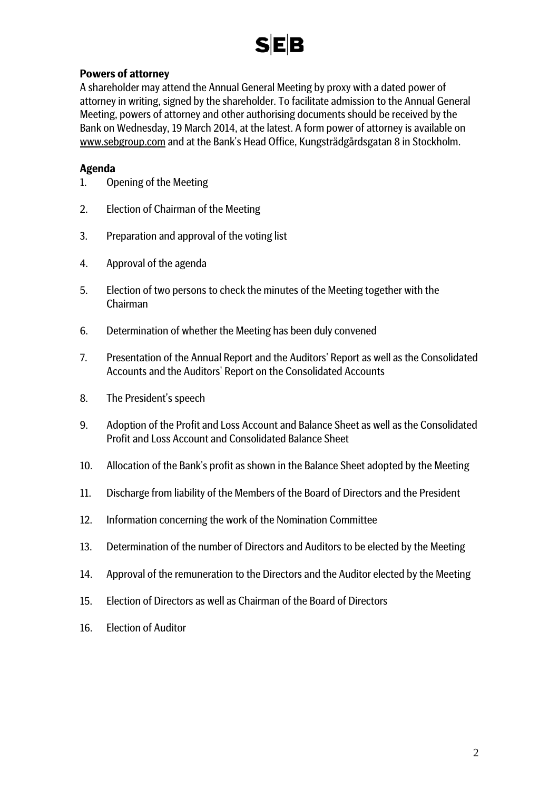# **SEB**

# **Powers of attorney**

A shareholder may attend the Annual General Meeting by proxy with a dated power of attorney in writing, signed by the shareholder. To facilitate admission to the Annual General Meeting, powers of attorney and other authorising documents should be received by the Bank on Wednesday, 19 March 2014, at the latest. A form power of attorney is available on www.sebgroup.com and at the Bank's Head Office, Kungsträdgårdsgatan 8 in Stockholm.

# **Agenda**

- 1. Opening of the Meeting
- 2. Election of Chairman of the Meeting
- 3. Preparation and approval of the voting list
- 4. Approval of the agenda
- 5. Election of two persons to check the minutes of the Meeting together with the Chairman
- 6. Determination of whether the Meeting has been duly convened
- 7. Presentation of the Annual Report and the Auditors' Report as well as the Consolidated Accounts and the Auditors' Report on the Consolidated Accounts
- 8. The President's speech
- 9. Adoption of the Profit and Loss Account and Balance Sheet as well as the Consolidated Profit and Loss Account and Consolidated Balance Sheet
- 10. Allocation of the Bank's profit as shown in the Balance Sheet adopted by the Meeting
- 11. Discharge from liability of the Members of the Board of Directors and the President
- 12. Information concerning the work of the Nomination Committee
- 13. Determination of the number of Directors and Auditors to be elected by the Meeting
- 14. Approval of the remuneration to the Directors and the Auditor elected by the Meeting
- 15. Election of Directors as well as Chairman of the Board of Directors
- 16. Election of Auditor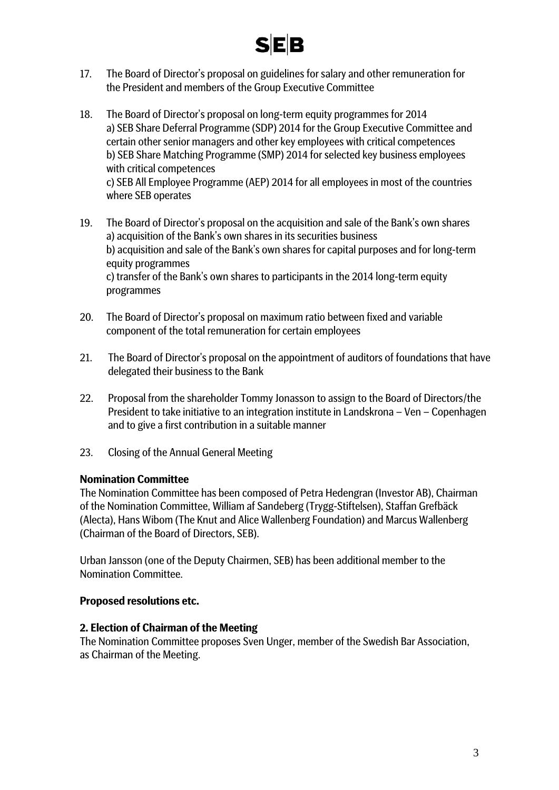

- 17. The Board of Director's proposal on guidelines for salary and other remuneration for the President and members of the Group Executive Committee
- 18. The Board of Director's proposal on long-term equity programmes for 2014 a) SEB Share Deferral Programme (SDP) 2014 for the Group Executive Committee and certain other senior managers and other key employees with critical competences b) SEB Share Matching Programme (SMP) 2014 for selected key business employees with critical competences c) SEB All Employee Programme (AEP) 2014 for all employees in most of the countries where SEB operates
- 19. The Board of Director's proposal on the acquisition and sale of the Bank's own shares a) acquisition of the Bank's own shares in its securities business b) acquisition and sale of the Bank's own shares for capital purposes and for long-term equity programmes c) transfer of the Bank's own shares to participants in the 2014 long-term equity programmes
- 20. The Board of Director's proposal on maximum ratio between fixed and variable component of the total remuneration for certain employees
- 21. The Board of Director's proposal on the appointment of auditors of foundations that have delegated their business to the Bank
- 22. Proposal from the shareholder Tommy Jonasson to assign to the Board of Directors/the President to take initiative to an integration institute in Landskrona – Ven – Copenhagen and to give a first contribution in a suitable manner
- 23. Closing of the Annual General Meeting

#### **Nomination Committee**

The Nomination Committee has been composed of Petra Hedengran (Investor AB), Chairman of the Nomination Committee, William af Sandeberg (Trygg-Stiftelsen), Staffan Grefbäck (Alecta), Hans Wibom (The Knut and Alice Wallenberg Foundation) and Marcus Wallenberg (Chairman of the Board of Directors, SEB).

Urban Jansson (one of the Deputy Chairmen, SEB) has been additional member to the Nomination Committee.

#### **Proposed resolutions etc.**

#### **2. Election of Chairman of the Meeting**

The Nomination Committee proposes Sven Unger, member of the Swedish Bar Association, as Chairman of the Meeting.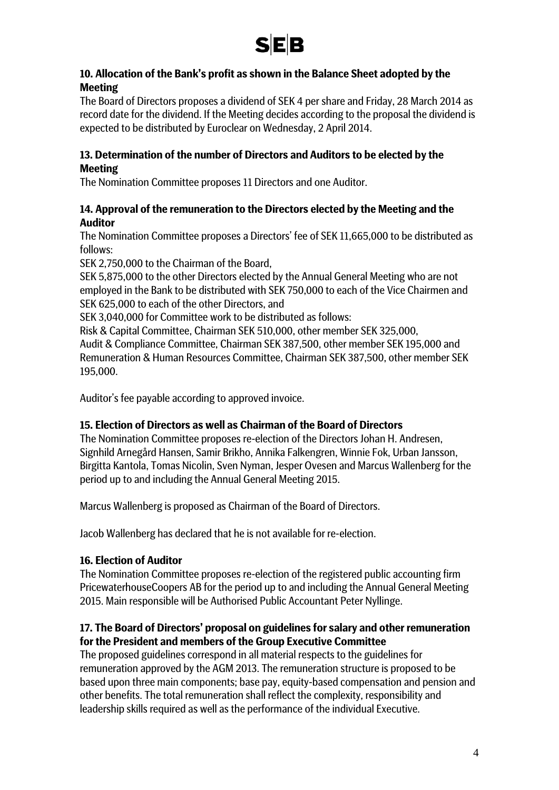

# **10. Allocation of the Bank's profit as shown in the Balance Sheet adopted by the Meeting**

The Board of Directors proposes a dividend of SEK 4 per share and Friday, 28 March 2014 as record date for the dividend. If the Meeting decides according to the proposal the dividend is expected to be distributed by Euroclear on Wednesday, 2 April 2014.

#### **13. Determination of the number of Directors and Auditors to be elected by the Meeting**

The Nomination Committee proposes 11 Directors and one Auditor.

# **14. Approval of the remuneration to the Directors elected by the Meeting and the Auditor**

The Nomination Committee proposes a Directors' fee of SEK 11,665,000 to be distributed as follows:

SEK 2,750,000 to the Chairman of the Board,

SEK 5,875,000 to the other Directors elected by the Annual General Meeting who are not employed in the Bank to be distributed with SEK 750,000 to each of the Vice Chairmen and SEK 625,000 to each of the other Directors, and

SEK 3,040,000 for Committee work to be distributed as follows:

Risk & Capital Committee, Chairman SEK 510,000, other member SEK 325,000, Audit & Compliance Committee, Chairman SEK 387,500, other member SEK 195,000 and Remuneration & Human Resources Committee, Chairman SEK 387,500, other member SEK 195,000.

Auditor's fee payable according to approved invoice.

# **15. Election of Directors as well as Chairman of the Board of Directors**

The Nomination Committee proposes re-election of the Directors Johan H. Andresen, Signhild Arnegård Hansen, Samir Brikho, Annika Falkengren, Winnie Fok, Urban Jansson, Birgitta Kantola, Tomas Nicolin, Sven Nyman, Jesper Ovesen and Marcus Wallenberg for the period up to and including the Annual General Meeting 2015.

Marcus Wallenberg is proposed as Chairman of the Board of Directors.

Jacob Wallenberg has declared that he is not available for re-election.

# **16. Election of Auditor**

The Nomination Committee proposes re-election of the registered public accounting firm PricewaterhouseCoopers AB for the period up to and including the Annual General Meeting 2015. Main responsible will be Authorised Public Accountant Peter Nyllinge.

# **17. The Board of Directors' proposal on guidelines for salary and other remuneration for the President and members of the Group Executive Committee**

The proposed guidelines correspond in all material respects to the guidelines for remuneration approved by the AGM 2013. The remuneration structure is proposed to be based upon three main components; base pay, equity-based compensation and pension and other benefits. The total remuneration shall reflect the complexity, responsibility and leadership skills required as well as the performance of the individual Executive.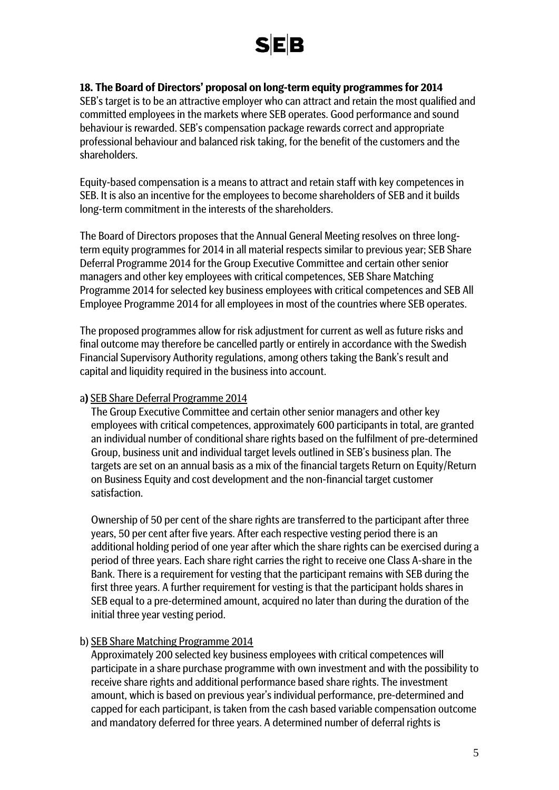

#### **18. The Board of Directors' proposal on long-term equity programmes for 2014**

SEB's target is to be an attractive employer who can attract and retain the most qualified and committed employees in the markets where SEB operates. Good performance and sound behaviour is rewarded. SEB's compensation package rewards correct and appropriate professional behaviour and balanced risk taking, for the benefit of the customers and the shareholders.

Equity-based compensation is a means to attract and retain staff with key competences in SEB. It is also an incentive for the employees to become shareholders of SEB and it builds long-term commitment in the interests of the shareholders.

The Board of Directors proposes that the Annual General Meeting resolves on three longterm equity programmes for 2014 in all material respects similar to previous year; SEB Share Deferral Programme 2014 for the Group Executive Committee and certain other senior managers and other key employees with critical competences, SEB Share Matching Programme 2014 for selected key business employees with critical competences and SEB All Employee Programme 2014 for all employees in most of the countries where SEB operates.

The proposed programmes allow for risk adjustment for current as well as future risks and final outcome may therefore be cancelled partly or entirely in accordance with the Swedish Financial Supervisory Authority regulations, among others taking the Bank's result and capital and liquidity required in the business into account.

#### a**)** SEB Share Deferral Programme 2014

The Group Executive Committee and certain other senior managers and other key employees with critical competences, approximately 600 participants in total, are granted an individual number of conditional share rights based on the fulfilment of pre-determined Group, business unit and individual target levels outlined in SEB's business plan. The targets are set on an annual basis as a mix of the financial targets Return on Equity/Return on Business Equity and cost development and the non-financial target customer satisfaction.

Ownership of 50 per cent of the share rights are transferred to the participant after three years, 50 per cent after five years. After each respective vesting period there is an additional holding period of one year after which the share rights can be exercised during a period of three years. Each share right carries the right to receive one Class A-share in the Bank. There is a requirement for vesting that the participant remains with SEB during the first three years. A further requirement for vesting is that the participant holds shares in SEB equal to a pre-determined amount, acquired no later than during the duration of the initial three year vesting period.

#### b) SEB Share Matching Programme 2014

Approximately 200 selected key business employees with critical competences will participate in a share purchase programme with own investment and with the possibility to receive share rights and additional performance based share rights. The investment amount, which is based on previous year's individual performance, pre-determined and capped for each participant, is taken from the cash based variable compensation outcome and mandatory deferred for three years. A determined number of deferral rights is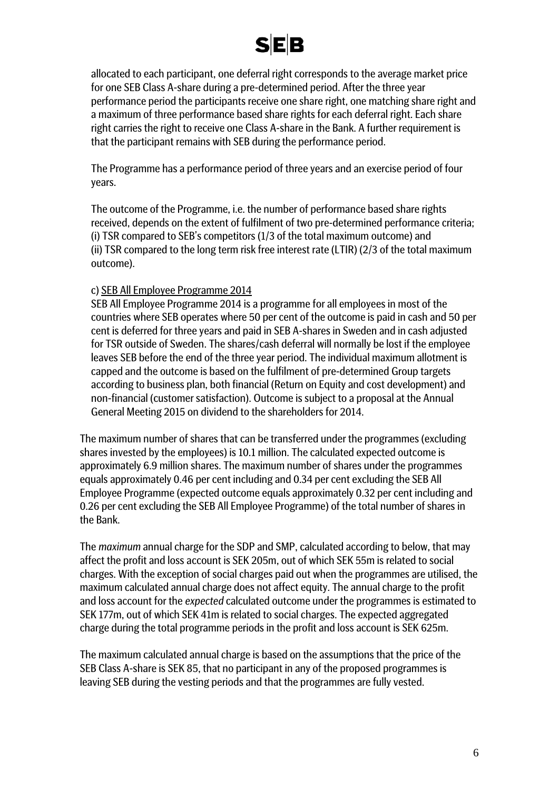

allocated to each participant, one deferral right corresponds to the average market price for one SEB Class A-share during a pre-determined period. After the three year performance period the participants receive one share right, one matching share right and a maximum of three performance based share rights for each deferral right. Each share right carries the right to receive one Class A-share in the Bank. A further requirement is that the participant remains with SEB during the performance period.

The Programme has a performance period of three years and an exercise period of four years.

The outcome of the Programme, i.e. the number of performance based share rights received, depends on the extent of fulfilment of two pre-determined performance criteria; (i) TSR compared to SEB's competitors (1/3 of the total maximum outcome) and (ii) TSR compared to the long term risk free interest rate (LTIR) (2/3 of the total maximum outcome).

#### c) SEB All Employee Programme 2014

SEB All Employee Programme 2014 is a programme for all employees in most of the countries where SEB operates where 50 per cent of the outcome is paid in cash and 50 per cent is deferred for three years and paid in SEB A-shares in Sweden and in cash adjusted for TSR outside of Sweden. The shares/cash deferral will normally be lost if the employee leaves SEB before the end of the three year period. The individual maximum allotment is capped and the outcome is based on the fulfilment of pre-determined Group targets according to business plan, both financial (Return on Equity and cost development) and non-financial (customer satisfaction). Outcome is subject to a proposal at the Annual General Meeting 2015 on dividend to the shareholders for 2014.

The maximum number of shares that can be transferred under the programmes (excluding shares invested by the employees) is 10.1 million. The calculated expected outcome is approximately 6.9 million shares. The maximum number of shares under the programmes equals approximately 0.46 per cent including and 0.34 per cent excluding the SEB All Employee Programme (expected outcome equals approximately 0.32 per cent including and 0.26 per cent excluding the SEB All Employee Programme) of the total number of shares in the Bank.

The *maximum* annual charge for the SDP and SMP, calculated according to below, that may affect the profit and loss account is SEK 205m, out of which SEK 55m is related to social charges. With the exception of social charges paid out when the programmes are utilised, the maximum calculated annual charge does not affect equity. The annual charge to the profit and loss account for the *expected* calculated outcome under the programmes is estimated to SEK 177m, out of which SEK 41m is related to social charges. The expected aggregated charge during the total programme periods in the profit and loss account is SEK 625m.

The maximum calculated annual charge is based on the assumptions that the price of the SEB Class A-share is SEK 85, that no participant in any of the proposed programmes is leaving SEB during the vesting periods and that the programmes are fully vested.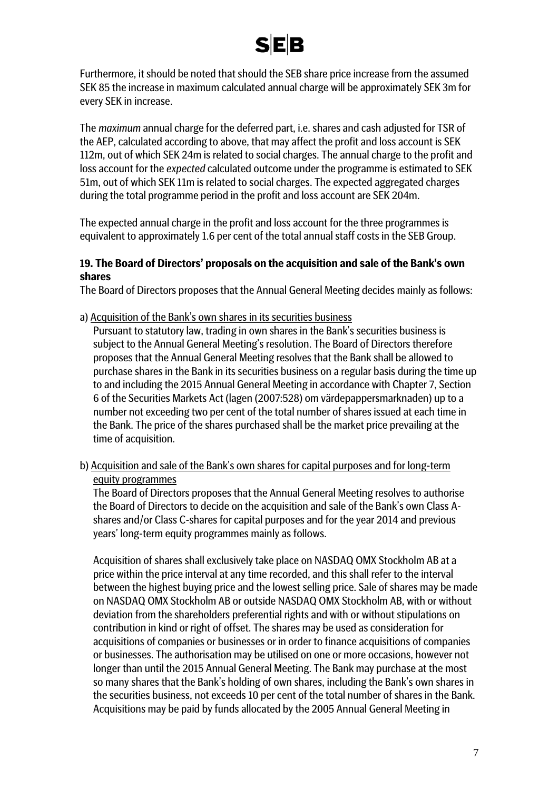

Furthermore, it should be noted that should the SEB share price increase from the assumed SEK 85 the increase in maximum calculated annual charge will be approximately SEK 3m for every SEK in increase.

The *maximum* annual charge for the deferred part, i.e. shares and cash adjusted for TSR of the AEP, calculated according to above, that may affect the profit and loss account is SEK 112m, out of which SEK 24m is related to social charges. The annual charge to the profit and loss account for the *expected* calculated outcome under the programme is estimated to SEK 51m, out of which SEK 11m is related to social charges. The expected aggregated charges during the total programme period in the profit and loss account are SEK 204m.

The expected annual charge in the profit and loss account for the three programmes is equivalent to approximately 1.6 per cent of the total annual staff costs in the SEB Group.

#### **19. The Board of Directors' proposals on the acquisition and sale of the Bank's own shares**

The Board of Directors proposes that the Annual General Meeting decides mainly as follows:

a) Acquisition of the Bank's own shares in its securities business

Pursuant to statutory law, trading in own shares in the Bank's securities business is subject to the Annual General Meeting's resolution. The Board of Directors therefore proposes that the Annual General Meeting resolves that the Bank shall be allowed to purchase shares in the Bank in its securities business on a regular basis during the time up to and including the 2015 Annual General Meeting in accordance with Chapter 7, Section 6 of the Securities Markets Act (lagen (2007:528) om värdepappersmarknaden) up to a number not exceeding two per cent of the total number of shares issued at each time in the Bank. The price of the shares purchased shall be the market price prevailing at the time of acquisition.

b) Acquisition and sale of the Bank's own shares for capital purposes and for long-term equity programmes

The Board of Directors proposes that the Annual General Meeting resolves to authorise the Board of Directors to decide on the acquisition and sale of the Bank's own Class Ashares and/or Class C-shares for capital purposes and for the year 2014 and previous years' long-term equity programmes mainly as follows.

Acquisition of shares shall exclusively take place on NASDAQ OMX Stockholm AB at a price within the price interval at any time recorded, and this shall refer to the interval between the highest buying price and the lowest selling price. Sale of shares may be made on NASDAQ OMX Stockholm AB or outside NASDAQ OMX Stockholm AB, with or without deviation from the shareholders preferential rights and with or without stipulations on contribution in kind or right of offset. The shares may be used as consideration for acquisitions of companies or businesses or in order to finance acquisitions of companies or businesses. The authorisation may be utilised on one or more occasions, however not longer than until the 2015 Annual General Meeting. The Bank may purchase at the most so many shares that the Bank's holding of own shares, including the Bank's own shares in the securities business, not exceeds 10 per cent of the total number of shares in the Bank. Acquisitions may be paid by funds allocated by the 2005 Annual General Meeting in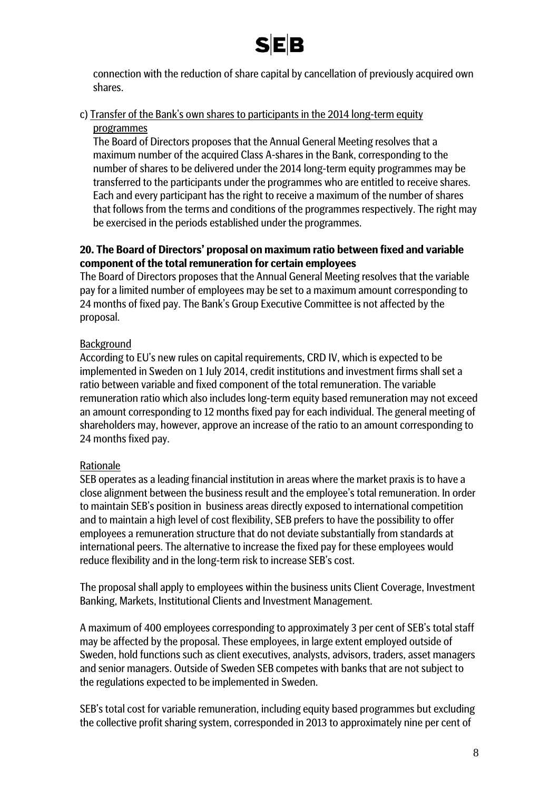

connection with the reduction of share capital by cancellation of previously acquired own shares.

# c) Transfer of the Bank's own shares to participants in the 2014 long-term equity programmes

The Board of Directors proposes that the Annual General Meeting resolves that a maximum number of the acquired Class A-shares in the Bank, corresponding to the number of shares to be delivered under the 2014 long-term equity programmes may be transferred to the participants under the programmes who are entitled to receive shares. Each and every participant has the right to receive a maximum of the number of shares that follows from the terms and conditions of the programmes respectively. The right may be exercised in the periods established under the programmes.

# **20. The Board of Directors' proposal on maximum ratio between fixed and variable component of the total remuneration for certain employees**

The Board of Directors proposes that the Annual General Meeting resolves that the variable pay for a limited number of employees may be set to a maximum amount corresponding to 24 months of fixed pay. The Bank's Group Executive Committee is not affected by the proposal.

# Background

According to EU's new rules on capital requirements, CRD IV, which is expected to be implemented in Sweden on 1 July 2014, credit institutions and investment firms shall set a ratio between variable and fixed component of the total remuneration. The variable remuneration ratio which also includes long-term equity based remuneration may not exceed an amount corresponding to 12 months fixed pay for each individual. The general meeting of shareholders may, however, approve an increase of the ratio to an amount corresponding to 24 months fixed pay.

# Rationale

SEB operates as a leading financial institution in areas where the market praxis is to have a close alignment between the business result and the employee's total remuneration. In order to maintain SEB's position in business areas directly exposed to international competition and to maintain a high level of cost flexibility, SEB prefers to have the possibility to offer employees a remuneration structure that do not deviate substantially from standards at international peers. The alternative to increase the fixed pay for these employees would reduce flexibility and in the long-term risk to increase SEB's cost.

The proposal shall apply to employees within the business units Client Coverage, Investment Banking, Markets, Institutional Clients and Investment Management.

A maximum of 400 employees corresponding to approximately 3 per cent of SEB's total staff may be affected by the proposal. These employees, in large extent employed outside of Sweden, hold functions such as client executives, analysts, advisors, traders, asset managers and senior managers. Outside of Sweden SEB competes with banks that are not subject to the regulations expected to be implemented in Sweden.

SEB's total cost for variable remuneration, including equity based programmes but excluding the collective profit sharing system, corresponded in 2013 to approximately nine per cent of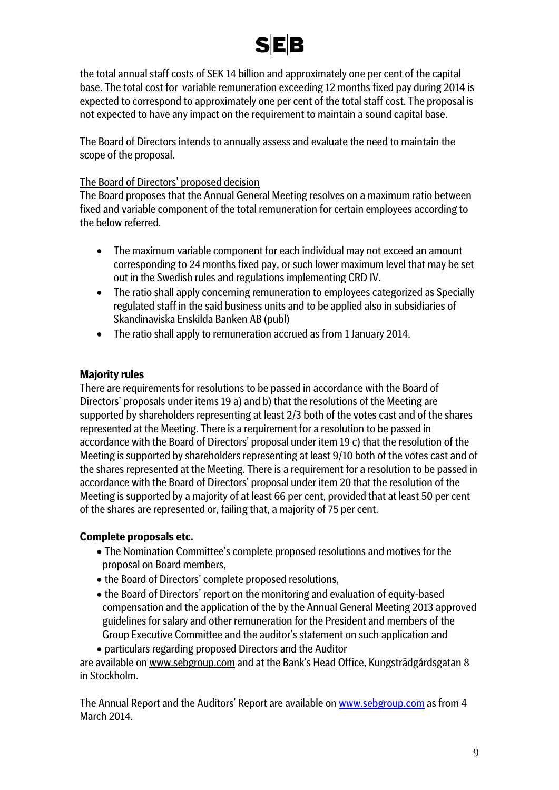

the total annual staff costs of SEK 14 billion and approximately one per cent of the capital base. The total cost for variable remuneration exceeding 12 months fixed pay during 2014 is expected to correspond to approximately one per cent of the total staff cost. The proposal is not expected to have any impact on the requirement to maintain a sound capital base.

The Board of Directors intends to annually assess and evaluate the need to maintain the scope of the proposal.

### The Board of Directors' proposed decision

The Board proposes that the Annual General Meeting resolves on a maximum ratio between fixed and variable component of the total remuneration for certain employees according to the below referred.

- The maximum variable component for each individual may not exceed an amount corresponding to 24 months fixed pay, or such lower maximum level that may be set out in the Swedish rules and regulations implementing CRD IV.
- The ratio shall apply concerning remuneration to employees categorized as Specially regulated staff in the said business units and to be applied also in subsidiaries of Skandinaviska Enskilda Banken AB (publ)
- The ratio shall apply to remuneration accrued as from 1 January 2014.

### **Majority rules**

There are requirements for resolutions to be passed in accordance with the Board of Directors' proposals under items 19 a) and b) that the resolutions of the Meeting are supported by shareholders representing at least 2/3 both of the votes cast and of the shares represented at the Meeting. There is a requirement for a resolution to be passed in accordance with the Board of Directors' proposal under item 19 c) that the resolution of the Meeting is supported by shareholders representing at least 9/10 both of the votes cast and of the shares represented at the Meeting. There is a requirement for a resolution to be passed in accordance with the Board of Directors' proposal under item 20 that the resolution of the Meeting is supported by a majority of at least 66 per cent, provided that at least 50 per cent of the shares are represented or, failing that, a majority of 75 per cent.

#### **Complete proposals etc.**

- The Nomination Committee's complete proposed resolutions and motives for the proposal on Board members,
- the Board of Directors' complete proposed resolutions,
- the Board of Directors' report on the monitoring and evaluation of equity-based compensation and the application of the by the Annual General Meeting 2013 approved guidelines for salary and other remuneration for the President and members of the Group Executive Committee and the auditor's statement on such application and

• particulars regarding proposed Directors and the Auditor are available on www.sebgroup.com and at the Bank's Head Office, Kungsträdgårdsgatan 8 in Stockholm.

The Annual Report and the Auditors' Report are available on [www.sebgroup.com](http://www.seb.net/) as from 4 March 2014.